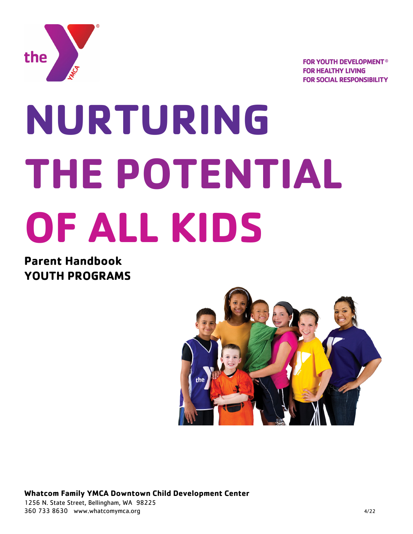

**FOR YOUTH DEVELOPMENT<sup>®</sup> FOR HEALTHY LIVING FOR SOCIAL RESPONSIBILITY** 

# **NURTURING THE POTENTIAL OF ALL KIDS**

**Parent Handbook YOUTH PROGRAMS** 



**Whatcom Family YMCA Downtown Child Development Center**  1256 N. State Street, Bellingham, WA 98225 360 733 8630 www.whatcomymca.org 4/22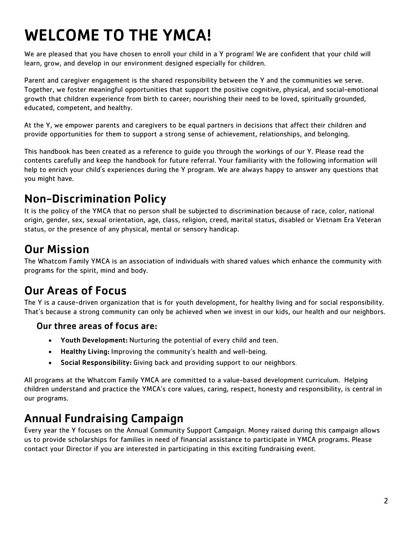# WELCOME TO THE YMCA!

We are pleased that you have chosen to enroll your child in a Y program! We are confident that your child will learn, grow, and develop in our environment designed especially for children.

Parent and caregiver engagement is the shared responsibility between the Y and the communities we serve. Together, we foster meaningful opportunities that support the positive cognitive, physical, and social-emotional growth that children experience from birth to career; nourishing their need to be loved, spiritually grounded, educated, competent, and healthy.

At the Y, we empower parents and caregivers to be equal partners in decisions that affect their children and provide opportunities for them to support a strong sense of achievement, relationships, and belonging.

This handbook has been created as a reference to guide you through the workings of our Y. Please read the contents carefully and keep the handbook for future referral. Your familiarity with the following information will help to enrich your child's experiences during the Y program. We are always happy to answer any questions that you might have.

## Non-Discrimination Policy

It is the policy of the YMCA that no person shall be subjected to discrimination because of race, color, national origin, gender, sex, sexual orientation, age, class, religion, creed, marital status, disabled or Vietnam Era Veteran status, or the presence of any physical, mental or sensory handicap.

## Our Mission

The Whatcom Family YMCA is an association of individuals with shared values which enhance the community with programs for the spirit, mind and body.

## Our Areas of Focus

The Y is a cause-driven organization that is for youth development, for healthy living and for social responsibility. That's because a strong community can only be achieved when we invest in our kids, our health and our neighbors.

#### Our three areas of focus are:

- Youth Development: Nurturing the potential of every child and teen.
- Healthy Living: Improving the community's health and well-being.
- Social Responsibility: Giving back and providing support to our neighbors.

All programs at the Whatcom Family YMCA are committed to a value-based development curriculum. Helping children understand and practice the YMCA's core values, caring, respect, honesty and responsibility, is central in our programs.

## Annual Fundraising Campaign

Every year the Y focuses on the Annual Community Support Campaign. Money raised during this campaign allows us to provide scholarships for families in need of financial assistance to participate in YMCA programs. Please contact your Director if you are interested in participating in this exciting fundraising event.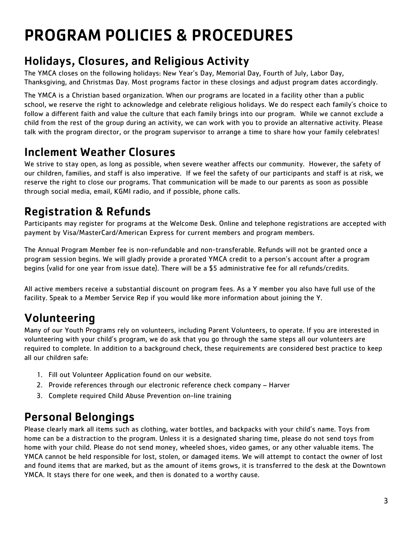## PROGRAM POLICIES & PROCEDURES

## Holidays, Closures, and Religious Activity

The YMCA closes on the following holidays: New Year's Day, Memorial Day, Fourth of July, Labor Day, Thanksgiving, and Christmas Day. Most programs factor in these closings and adjust program dates accordingly.

The YMCA is a Christian based organization. When our programs are located in a facility other than a public school, we reserve the right to acknowledge and celebrate religious holidays. We do respect each family's choice to follow a different faith and value the culture that each family brings into our program. While we cannot exclude a child from the rest of the group during an activity, we can work with you to provide an alternative activity. Please talk with the program director, or the program supervisor to arrange a time to share how your family celebrates!

#### Inclement Weather Closures

We strive to stay open, as long as possible, when severe weather affects our community. However, the safety of our children, families, and staff is also imperative. If we feel the safety of our participants and staff is at risk, we reserve the right to close our programs. That communication will be made to our parents as soon as possible through social media, email, KGMI radio, and if possible, phone calls.

## Registration & Refunds

Participants may register for programs at the Welcome Desk. Online and telephone registrations are accepted with payment by Visa/MasterCard/American Express for current members and program members.

The Annual Program Member fee is non-refundable and non-transferable. Refunds will not be granted once a program session begins. We will gladly provide a prorated YMCA credit to a person's account after a program begins (valid for one year from issue date). There will be a \$5 administrative fee for all refunds/credits.

All active members receive a substantial discount on program fees. As a Y member you also have full use of the facility. Speak to a Member Service Rep if you would like more information about joining the Y.

## Volunteering

Many of our Youth Programs rely on volunteers, including Parent Volunteers, to operate. If you are interested in volunteering with your child's program, we do ask that you go through the same steps all our volunteers are required to complete. In addition to a background check, these requirements are considered best practice to keep all our children safe:

- 1. Fill out Volunteer Application found on our website.
- 2. Provide references through our electronic reference check company Harver
- 3. Complete required Child Abuse Prevention on-line training

#### Personal Belongings

Please clearly mark all items such as clothing, water bottles, and backpacks with your child's name. Toys from home can be a distraction to the program. Unless it is a designated sharing time, please do not send toys from home with your child. Please do not send money, wheeled shoes, video games, or any other valuable items. The YMCA cannot be held responsible for lost, stolen, or damaged items. We will attempt to contact the owner of lost and found items that are marked, but as the amount of items grows, it is transferred to the desk at the Downtown YMCA. It stays there for one week, and then is donated to a worthy cause.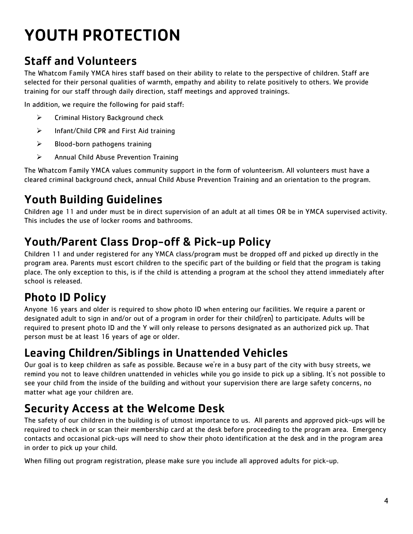# YOUTH PROTECTION

## Staff and Volunteers

The Whatcom Family YMCA hires staff based on their ability to relate to the perspective of children. Staff are selected for their personal qualities of warmth, empathy and ability to relate positively to others. We provide training for our staff through daily direction, staff meetings and approved trainings.

In addition, we require the following for paid staff:

- $\triangleright$  Criminal History Background check
- $\triangleright$  Infant/Child CPR and First Aid training
- $\triangleright$  Blood-born pathogens training
- Annual Child Abuse Prevention Training

The Whatcom Family YMCA values community support in the form of volunteerism. All volunteers must have a cleared criminal background check, annual Child Abuse Prevention Training and an orientation to the program.

## Youth Building Guidelines

Children age 11 and under must be in direct supervision of an adult at all times OR be in YMCA supervised activity. This includes the use of locker rooms and bathrooms.

## Youth/Parent Class Drop-off & Pick-up Policy

Children 11 and under registered for any YMCA class/program must be dropped off and picked up directly in the program area. Parents must escort children to the specific part of the building or field that the program is taking place. The only exception to this, is if the child is attending a program at the school they attend immediately after school is released.

## Photo ID Policy

Anyone 16 years and older is required to show photo ID when entering our facilities. We require a parent or designated adult to sign in and/or out of a program in order for their child(ren) to participate. Adults will be required to present photo ID and the Y will only release to persons designated as an authorized pick up. That person must be at least 16 years of age or older.

#### Leaving Children/Siblings in Unattended Vehicles

Our goal is to keep children as safe as possible. Because we're in a busy part of the city with busy streets, we remind you not to leave children unattended in vehicles while you go inside to pick up a sibling. It's not possible to see your child from the inside of the building and without your supervision there are large safety concerns, no matter what age your children are.

## Security Access at the Welcome Desk

The safety of our children in the building is of utmost importance to us. All parents and approved pick-ups will be required to check in or scan their membership card at the desk before proceeding to the program area. Emergency contacts and occasional pick-ups will need to show their photo identification at the desk and in the program area in order to pick up your child.

When filling out program registration, please make sure you include all approved adults for pick-up.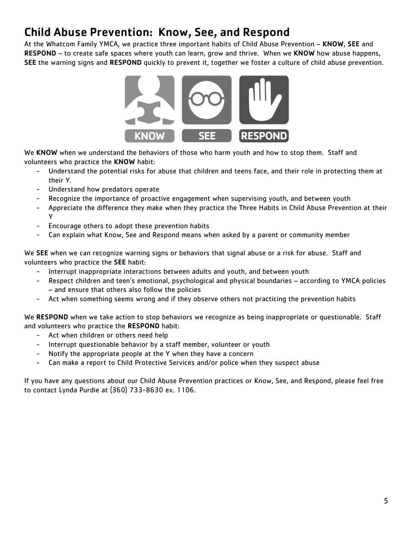## Child Abuse Prevention: Know, See, and Respond

At the Whatcom Family YMCA, we practice three important habits of Child Abuse Prevention – KNOW, SEE and RESPOND – to create safe spaces where youth can learn, grow and thrive. When we KNOW how abuse happens, SEE the warning signs and RESPOND quickly to prevent it, together we foster a culture of child abuse prevention.



We KNOW when we understand the behaviors of those who harm youth and how to stop them. Staff and volunteers who practice the KNOW habit:

- Understand the potential risks for abuse that children and teens face, and their role in protecting them at their Y.
- Understand how predators operate
- Recognize the importance of proactive engagement when supervising youth, and between youth
- Appreciate the difference they make when they practice the Three Habits in Child Abuse Prevention at their Y
- Encourage others to adopt these prevention habits
- Can explain what Know, See and Respond means when asked by a parent or community member

We SEE when we can recognize warning signs or behaviors that signal abuse or a risk for abuse. Staff and volunteers who practice the SEE habit:

- Interrupt inappropriate interactions between adults and youth, and between youth
- Respect children and teen's emotional, psychological and physical boundaries according to YMCA policies – and ensure that others also follow the policies
- Act when something seems wrong and if they observe others not practicing the prevention habits

We RESPOND when we take action to stop behaviors we recognize as being inappropriate or questionable. Staff and volunteers who practice the RESPOND habit:

- Act when children or others need help
- Interrupt questionable behavior by a staff member, volunteer or youth
- Notify the appropriate people at the Y when they have a concern
- Can make a report to Child Protective Services and/or police when they suspect abuse

If you have any questions about our Child Abuse Prevention practices or Know, See, and Respond, please feel free to contact Lynda Purdie at (360) 733-8630 ex. 1106.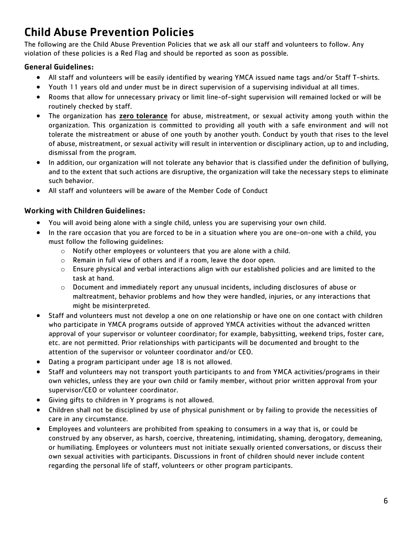## Child Abuse Prevention Policies

The following are the Child Abuse Prevention Policies that we ask all our staff and volunteers to follow. Any violation of these policies is a Red Flag and should be reported as soon as possible.

#### General Guidelines:

- All staff and volunteers will be easily identified by wearing YMCA issued name tags and/or Staff T-shirts.
- Youth 11 years old and under must be in direct supervision of a supervising individual at all times.
- Rooms that allow for unnecessary privacy or limit line-of-sight supervision will remained locked or will be routinely checked by staff.
- The organization has zero tolerance for abuse, mistreatment, or sexual activity among youth within the organization. This organization is committed to providing all youth with a safe environment and will not tolerate the mistreatment or abuse of one youth by another youth. Conduct by youth that rises to the level of abuse, mistreatment, or sexual activity will result in intervention or disciplinary action, up to and including, dismissal from the program.
- In addition, our organization will not tolerate any behavior that is classified under the definition of bullying, and to the extent that such actions are disruptive, the organization will take the necessary steps to eliminate such behavior.
- All staff and volunteers will be aware of the Member Code of Conduct

#### Working with Children Guidelines:

- You will avoid being alone with a single child, unless you are supervising your own child.
- In the rare occasion that you are forced to be in a situation where you are one-on-one with a child, you must follow the following guidelines:
	- o Notify other employees or volunteers that you are alone with a child.
	- o Remain in full view of others and if a room, leave the door open.
	- $\circ$  Ensure physical and verbal interactions align with our established policies and are limited to the task at hand.
	- $\circ$  Document and immediately report any unusual incidents, including disclosures of abuse or maltreatment, behavior problems and how they were handled, injuries, or any interactions that might be misinterpreted.
- Staff and volunteers must not develop a one on one relationship or have one on one contact with children who participate in YMCA programs outside of approved YMCA activities without the advanced written approval of your supervisor or volunteer coordinator; for example, babysitting, weekend trips, foster care, etc. are not permitted. Prior relationships with participants will be documented and brought to the attention of the supervisor or volunteer coordinator and/or CEO.
- Dating a program participant under age 18 is not allowed.
- Staff and volunteers may not transport youth participants to and from YMCA activities/programs in their own vehicles, unless they are your own child or family member, without prior written approval from your supervisor/CEO or volunteer coordinator.
- Giving gifts to children in Y programs is not allowed.
- Children shall not be disciplined by use of physical punishment or by failing to provide the necessities of care in any circumstance.
- Employees and volunteers are prohibited from speaking to consumers in a way that is, or could be construed by any observer, as harsh, coercive, threatening, intimidating, shaming, derogatory, demeaning, or humiliating. Employees or volunteers must not initiate sexually oriented conversations, or discuss their own sexual activities with participants. Discussions in front of children should never include content regarding the personal life of staff, volunteers or other program participants.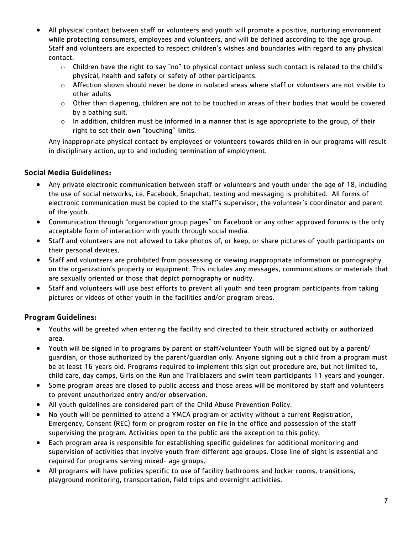- All physical contact between staff or volunteers and youth will promote a positive, nurturing environment while protecting consumers, employees and volunteers, and will be defined according to the age group. Staff and volunteers are expected to respect children's wishes and boundaries with regard to any physical contact.
	- o Children have the right to say "no" to physical contact unless such contact is related to the child's physical, health and safety or safety of other participants.
	- $\circ$  Affection shown should never be done in isolated areas where staff or volunteers are not visible to other adults
	- $\circ$  Other than diapering, children are not to be touched in areas of their bodies that would be covered by a bathing suit.
	- $\circ$  In addition, children must be informed in a manner that is age appropriate to the group, of their right to set their own "touching" limits.

Any inappropriate physical contact by employees or volunteers towards children in our programs will result in disciplinary action, up to and including termination of employment.

#### Social Media Guidelines:

- Any private electronic communication between staff or volunteers and youth under the age of 18, including the use of social networks, i.e. Facebook, Snapchat, texting and messaging is prohibited. All forms of electronic communication must be copied to the staff's supervisor, the volunteer's coordinator and parent of the youth.
- Communication through "organization group pages" on Facebook or any other approved forums is the only acceptable form of interaction with youth through social media.
- Staff and volunteers are not allowed to take photos of, or keep, or share pictures of youth participants on their personal devices.
- Staff and volunteers are prohibited from possessing or viewing inappropriate information or pornography on the organization's property or equipment. This includes any messages, communications or materials that are sexually oriented or those that depict pornography or nudity.
- Staff and volunteers will use best efforts to prevent all youth and teen program participants from taking pictures or videos of other youth in the facilities and/or program areas.

#### Program Guidelines:

- Youths will be greeted when entering the facility and directed to their structured activity or authorized area.
- Youth will be signed in to programs by parent or staff/volunteer Youth will be signed out by a parent/ guardian, or those authorized by the parent/guardian only. Anyone signing out a child from a program must be at least 16 years old. Programs required to implement this sign out procedure are, but not limited to, child care, day camps, Girls on the Run and Trailblazers and swim team participants 11 years and younger.
- Some program areas are closed to public access and those areas will be monitored by staff and volunteers to prevent unauthorized entry and/or observation.
- All youth guidelines are considered part of the Child Abuse Prevention Policy.
- No youth will be permitted to attend a YMCA program or activity without a current Registration, Emergency, Consent (REC) form or program roster on file in the office and possession of the staff supervising the program. Activities open to the public are the exception to this policy.
- Each program area is responsible for establishing specific guidelines for additional monitoring and supervision of activities that involve youth from different age groups. Close line of sight is essential and required for programs serving mixed- age groups.
- All programs will have policies specific to use of facility bathrooms and locker rooms, transitions, playground monitoring, transportation, field trips and overnight activities.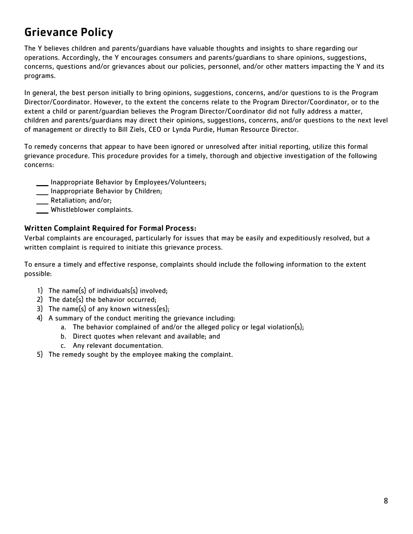## Grievance Policy

The Y believes children and parents/guardians have valuable thoughts and insights to share regarding our operations. Accordingly, the Y encourages consumers and parents/guardians to share opinions, suggestions, concerns, questions and/or grievances about our policies, personnel, and/or other matters impacting the Y and its programs.

In general, the best person initially to bring opinions, suggestions, concerns, and/or questions to is the Program Director/Coordinator. However, to the extent the concerns relate to the Program Director/Coordinator, or to the extent a child or parent/guardian believes the Program Director/Coordinator did not fully address a matter, children and parents/guardians may direct their opinions, suggestions, concerns, and/or questions to the next level of management or directly to Bill Ziels, CEO or Lynda Purdie, Human Resource Director.

To remedy concerns that appear to have been ignored or unresolved after initial reporting, utilize this formal grievance procedure. This procedure provides for a timely, thorough and objective investigation of the following concerns:

- Inappropriate Behavior by Employees/Volunteers;
- **Inappropriate Behavior by Children;**
- **Netaliation; and/or;**
- Whistleblower complaints.

#### Written Complaint Required for Formal Process:

Verbal complaints are encouraged, particularly for issues that may be easily and expeditiously resolved, but a written complaint is required to initiate this grievance process.

To ensure a timely and effective response, complaints should include the following information to the extent possible:

- 1) The name(s) of individuals(s) involved;
- 2) The date(s) the behavior occurred;
- 3) The name(s) of any known witness(es);
- 4) A summary of the conduct meriting the grievance including:
	- a. The behavior complained of and/or the alleged policy or legal violation(s);
	- b. Direct quotes when relevant and available; and
	- c. Any relevant documentation.
- 5) The remedy sought by the employee making the complaint.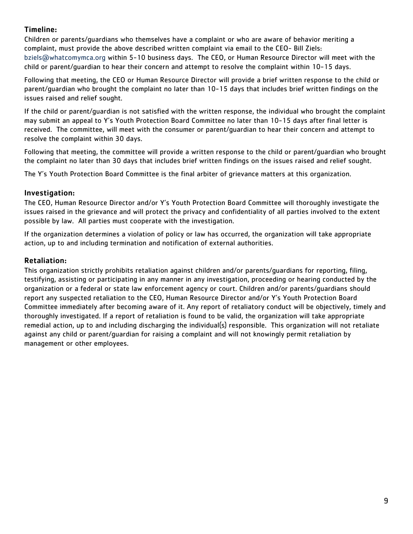#### Timeline:

Children or parents/guardians who themselves have a complaint or who are aware of behavior meriting a complaint, must provide the above described written complaint via email to the CEO- Bill Ziels: bziels@whatcomymca.org within 5-10 business days. The CEO, or Human Resource Director will meet with the child or parent/guardian to hear their concern and attempt to resolve the complaint within 10-15 days.

Following that meeting, the CEO or Human Resource Director will provide a brief written response to the child or parent/guardian who brought the complaint no later than 10-15 days that includes brief written findings on the issues raised and relief sought.

If the child or parent/guardian is not satisfied with the written response, the individual who brought the complaint may submit an appeal to Y's Youth Protection Board Committee no later than 10-15 days after final letter is received. The committee, will meet with the consumer or parent/guardian to hear their concern and attempt to resolve the complaint within 30 days.

Following that meeting, the committee will provide a written response to the child or parent/guardian who brought the complaint no later than 30 days that includes brief written findings on the issues raised and relief sought.

The Y's Youth Protection Board Committee is the final arbiter of grievance matters at this organization.

#### Investigation:

The CEO, Human Resource Director and/or Y's Youth Protection Board Committee will thoroughly investigate the issues raised in the grievance and will protect the privacy and confidentiality of all parties involved to the extent possible by law. All parties must cooperate with the investigation.

If the organization determines a violation of policy or law has occurred, the organization will take appropriate action, up to and including termination and notification of external authorities.

#### Retaliation:

This organization strictly prohibits retaliation against children and/or parents/guardians for reporting, filing, testifying, assisting or participating in any manner in any investigation, proceeding or hearing conducted by the organization or a federal or state law enforcement agency or court. Children and/or parents/guardians should report any suspected retaliation to the CEO, Human Resource Director and/or Y's Youth Protection Board Committee immediately after becoming aware of it. Any report of retaliatory conduct will be objectively, timely and thoroughly investigated. If a report of retaliation is found to be valid, the organization will take appropriate remedial action, up to and including discharging the individual(s) responsible. This organization will not retaliate against any child or parent/guardian for raising a complaint and will not knowingly permit retaliation by management or other employees.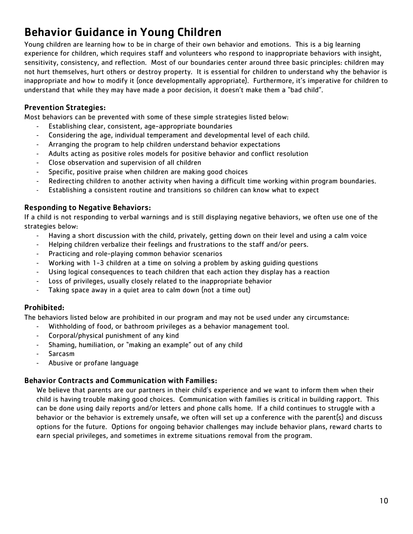## Behavior Guidance in Young Children

Young children are learning how to be in charge of their own behavior and emotions. This is a big learning experience for children, which requires staff and volunteers who respond to inappropriate behaviors with insight, sensitivity, consistency, and reflection. Most of our boundaries center around three basic principles: children may not hurt themselves, hurt others or destroy property. It is essential for children to understand why the behavior is inappropriate and how to modify it (once developmentally appropriate). Furthermore, it's imperative for children to understand that while they may have made a poor decision, it doesn't make them a "bad child".

#### Prevention Strategies:

Most behaviors can be prevented with some of these simple strategies listed below:

- Establishing clear, consistent, age-appropriate boundaries
- Considering the age, individual temperament and developmental level of each child.
- Arranging the program to help children understand behavior expectations
- Adults acting as positive roles models for positive behavior and conflict resolution
- Close observation and supervision of all children
- Specific, positive praise when children are making good choices
- Redirecting children to another activity when having a difficult time working within program boundaries.
- Establishing a consistent routine and transitions so children can know what to expect

#### Responding to Negative Behaviors:

If a child is not responding to verbal warnings and is still displaying negative behaviors, we often use one of the strategies below:

- Having a short discussion with the child, privately, getting down on their level and using a calm voice
- Helping children verbalize their feelings and frustrations to the staff and/or peers.
- Practicing and role-playing common behavior scenarios
- Working with 1-3 children at a time on solving a problem by asking quiding questions
- Using logical consequences to teach children that each action they display has a reaction
- Loss of privileges, usually closely related to the inappropriate behavior
- Taking space away in a quiet area to calm down (not a time out)

#### Prohibited:

The behaviors listed below are prohibited in our program and may not be used under any circumstance:

- Withholding of food, or bathroom privileges as a behavior management tool.
- Corporal/physical punishment of any kind
- Shaming, humiliation, or "making an example" out of any child
- **Sarcasm**
- Abusive or profane language

#### Behavior Contracts and Communication with Families:

We believe that parents are our partners in their child's experience and we want to inform them when their child is having trouble making good choices. Communication with families is critical in building rapport. This can be done using daily reports and/or letters and phone calls home. If a child continues to struggle with a behavior or the behavior is extremely unsafe, we often will set up a conference with the parent(s) and discuss options for the future. Options for ongoing behavior challenges may include behavior plans, reward charts to earn special privileges, and sometimes in extreme situations removal from the program.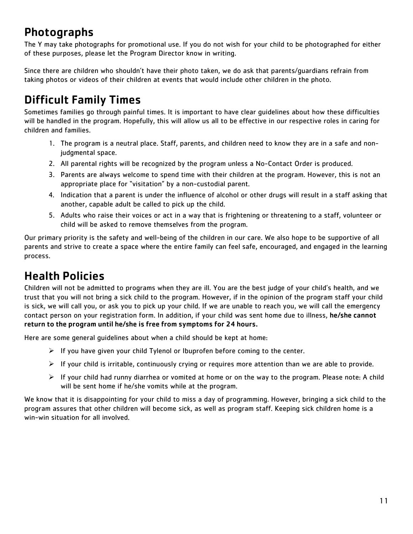## Photographs

The Y may take photographs for promotional use. If you do not wish for your child to be photographed for either of these purposes, please let the Program Director know in writing.

Since there are children who shouldn't have their photo taken, we do ask that parents/guardians refrain from taking photos or videos of their children at events that would include other children in the photo.

## Difficult Family Times

Sometimes families go through painful times. It is important to have clear guidelines about how these difficulties will be handled in the program. Hopefully, this will allow us all to be effective in our respective roles in caring for children and families.

- 1. The program is a neutral place. Staff, parents, and children need to know they are in a safe and nonjudgmental space.
- 2. All parental rights will be recognized by the program unless a No-Contact Order is produced.
- 3. Parents are always welcome to spend time with their children at the program. However, this is not an appropriate place for "visitation" by a non-custodial parent.
- 4. Indication that a parent is under the influence of alcohol or other drugs will result in a staff asking that another, capable adult be called to pick up the child.
- 5. Adults who raise their voices or act in a way that is frightening or threatening to a staff, volunteer or child will be asked to remove themselves from the program.

Our primary priority is the safety and well-being of the children in our care. We also hope to be supportive of all parents and strive to create a space where the entire family can feel safe, encouraged, and engaged in the learning process.

## Health Policies

Children will not be admitted to programs when they are ill. You are the best judge of your child's health, and we trust that you will not bring a sick child to the program. However, if in the opinion of the program staff your child is sick, we will call you, or ask you to pick up your child. If we are unable to reach you, we will call the emergency contact person on your registration form. In addition, if your child was sent home due to illness, he/she cannot return to the program until he/she is free from symptoms for 24 hours.

Here are some general guidelines about when a child should be kept at home:

- $\triangleright$  If you have given your child Tylenol or Ibuprofen before coming to the center.
- $\triangleright$  If your child is irritable, continuously crying or requires more attention than we are able to provide.
- $\triangleright$  If your child had runny diarrhea or vomited at home or on the way to the program. Please note: A child will be sent home if he/she vomits while at the program.

We know that it is disappointing for your child to miss a day of programming. However, bringing a sick child to the program assures that other children will become sick, as well as program staff. Keeping sick children home is a win-win situation for all involved.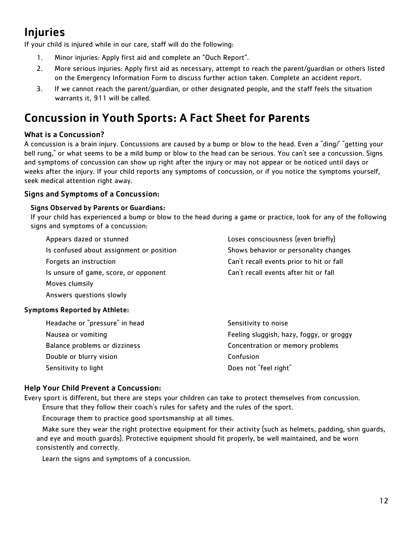## Injuries

If your child is injured while in our care, staff will do the following:

- 1. Minor injuries: Apply first aid and complete an "Ouch Report".
- 2. More serious injuries: Apply first aid as necessary, attempt to reach the parent/guardian or others listed on the Emergency Information Form to discuss further action taken. Complete an accident report.
- 3. If we cannot reach the parent/guardian, or other designated people, and the staff feels the situation warrants it, 911 will be called.

#### Concussion in Youth Sports: A Fact Sheet for Parents

#### What is a Concussion?

A concussion is a brain injury. Concussions are caused by a bump or blow to the head. Even a "ding/' "getting your bell rung," or what seems to be a mild bump or blow to the head can be serious. You can't see a concussion. Signs and symptoms of concussion can show up right after the injury or may not appear or be noticed until days or weeks after the injury. If your child reports any symptoms of concussion, or if you notice the symptoms yourself, seek medical attention right away.

#### Signs and Symptoms of a Concussion:

#### Signs Observed by Parents or Guardians:

If your child has experienced a bump or blow to the head during a game or practice, look for any of the following signs and symptoms of a concussion:

| Appears dazed or stunned                 | Loses consciousness (even briefly)       |
|------------------------------------------|------------------------------------------|
| Is confused about assignment or position | Shows behavior or personality changes    |
| Forgets an instruction                   | Can't recall events prior to hit or fall |
| Is unsure of game, score, or opponent    | Can't recall events after hit or fall    |
| Moves clumsily                           |                                          |
| Answers questions slowly                 |                                          |

#### Symptoms Reported by Athlete:

| Headache or "pressure" in head | Sensitivity to noise                     |
|--------------------------------|------------------------------------------|
| Nausea or vomiting             | Feeling sluggish, hazy, foggy, or groggy |
| Balance problems or dizziness  | Concentration or memory problems         |
| Double or blurry vision        | Confusion                                |
| Sensitivity to light           | Does not "feel right"                    |

#### Help Your Child Prevent a Concussion:

Every sport is different, but there are steps your children can take to protect themselves from concussion. Ensure that they follow their coach's rules for safety and the rules of the sport.

Encourage them to practice good sportsmanship at all times.

 Make sure they wear the right protective equipment for their activity (such as helmets, padding, shin guards, and eye and mouth guards). Protective equipment should fit properly, be well maintained, and be worn consistently and correctly.

Learn the signs and symptoms of a concussion.